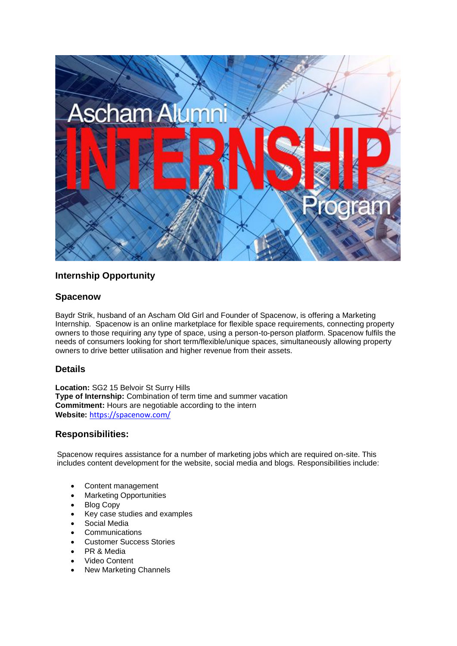

# **Internship Opportunity**

### **Spacenow**

Baydr Strik, husband of an Ascham Old Girl and Founder of Spacenow, is offering a Marketing Internship. Spacenow is an online marketplace for flexible space requirements, connecting property owners to those requiring any type of space, using a person-to-person platform. Spacenow fulfils the needs of consumers looking for short term/flexible/unique spaces, simultaneously allowing property owners to drive better utilisation and higher revenue from their assets.

#### **Details**

**Location:** SG2 15 Belvoir St Surry Hills **Type of Internship:** Combination of term time and summer vacation **Commitment:** Hours are negotiable according to the intern **Website:** <https://spacenow.com/>

#### **Responsibilities:**

Spacenow requires assistance for a number of marketing jobs which are required on-site. This includes content development for the website, social media and blogs. Responsibilities include:

- Content management
- Marketing Opportunities
- **Blog Copy**
- Key case studies and examples
- Social Media
- **Communications**
- Customer Success Stories
- PR & Media
- Video Content
- **New Marketing Channels**